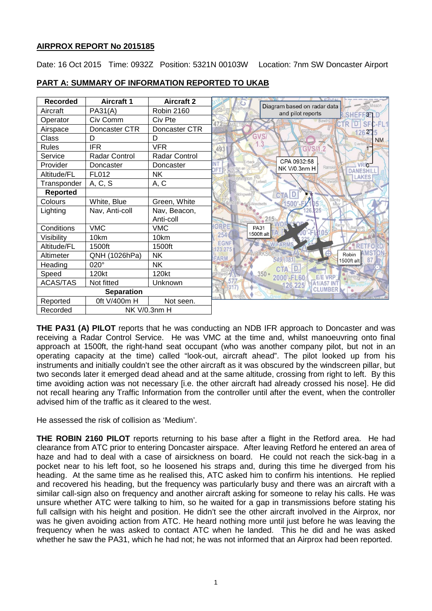## **AIRPROX REPORT No 2015185**

Date: 16 Oct 2015 Time: 0932Z Position: 5321N 00103W Location: 7nm SW Doncaster Airport

| <b>Recorded</b>   | <b>Aircraft 1</b>    | <b>Aircraft 2</b> | Diagram based on radar data<br>Misson                           |
|-------------------|----------------------|-------------------|-----------------------------------------------------------------|
| Aircraft          | PA31(A)              | <b>Robin 2160</b> | and pilot reports<br><b>SHEFF</b><br>3 <sub>1</sub>             |
| Operator          | Civ Comm             | Civ Pte           |                                                                 |
| Airspace          | Doncaster CTR        | Doncaster CTR     | 2 <sup>7</sup><br>26                                            |
| Class             | D                    | D                 | <b>GVS</b><br><b>NM</b>                                         |
| <b>Rules</b>      | <b>IFR</b>           | <b>VFR</b>        | .3<br>Everton<br>493<br>GVS/1.2                                 |
| Service           | <b>Radar Control</b> | Radar Control     |                                                                 |
| Provider          | Doncaster            | Doncaster         | CPA 0932:58<br><b>VR<sub>m</sub></b><br>Ranskil<br>NK V/0.3nm H |
| Altitude/FL       | FL012                | NΚ                | <b>DANESHI</b><br><b>LAKES</b>                                  |
| Transponder       | A, C, S              | A, C              | linnington                                                      |
| <b>Reported</b>   |                      |                   | dinawe<br><b>CTA</b>                                            |
| Colours           | White, Blue          | Green, White      | $1500 -$<br>Woodsetts                                           |
| Lighting          | Nav, Anti-coll       | Nav, Beacon,      |                                                                 |
|                   |                      | Anti-coll         |                                                                 |
| Conditions        | <b>VMC</b>           | <b>VMC</b>        | ORRE<br><b>PA31</b>                                             |
| Visibility        | 10km                 | 10km              | 1500ft alt<br><b>254V</b>                                       |
| Altitude/FL       | 1500ft               | 1500ft            | <b>EGNF</b><br>23.275                                           |
| Altimeter         | QNH (1026hPa)        | NΚ                | Robin<br><b>ARM</b><br>549.(381<br>81<br>1500ft alt             |
| Heading           | $020^\circ$          | NΚ                |                                                                 |
| Speed             | 120kt                | 120kt             | $350 -$<br>2000 EL60                                            |
| <b>ACAS/TAS</b>   | Not fitted           | Unknown           | 126.225                                                         |
| <b>Separation</b> |                      |                   | <b>CLUMBER</b>                                                  |
| Reported          | 0ft V/400m H         | Not seen.         |                                                                 |
| Recorded          | NK V/0.3nm H         |                   |                                                                 |

# **PART A: SUMMARY OF INFORMATION REPORTED TO UKAB**

**THE PA31 (A) PILOT** reports that he was conducting an NDB IFR approach to Doncaster and was receiving a Radar Control Service. He was VMC at the time and, whilst manoeuvring onto final approach at 1500ft, the right-hand seat occupant (who was another company pilot, but not in an operating capacity at the time) called "look-out, aircraft ahead". The pilot looked up from his instruments and initially couldn't see the other aircraft as it was obscured by the windscreen pillar, but two seconds later it emerged dead ahead and at the same altitude, crossing from right to left. By this time avoiding action was not necessary [i.e. the other aircraft had already crossed his nose]. He did not recall hearing any Traffic Information from the controller until after the event, when the controller advised him of the traffic as it cleared to the west.

He assessed the risk of collision as 'Medium'.

**THE ROBIN 2160 PILOT** reports returning to his base after a flight in the Retford area. He had clearance from ATC prior to entering Doncaster airspace. After leaving Retford he entered an area of haze and had to deal with a case of airsickness on board. He could not reach the sick-bag in a pocket near to his left foot, so he loosened his straps and, during this time he diverged from his heading. At the same time as he realised this, ATC asked him to confirm his intentions. He replied and recovered his heading, but the frequency was particularly busy and there was an aircraft with a similar call-sign also on frequency and another aircraft asking for someone to relay his calls. He was unsure whether ATC were talking to him, so he waited for a gap in transmissions before stating his full callsign with his height and position. He didn't see the other aircraft involved in the Airprox, nor was he given avoiding action from ATC. He heard nothing more until just before he was leaving the frequency when he was asked to contact ATC when he landed. This he did and he was asked whether he saw the PA31, which he had not; he was not informed that an Airprox had been reported.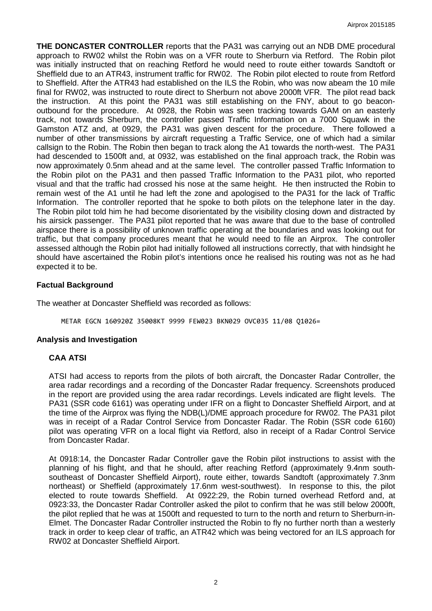**THE DONCASTER CONTROLLER** reports that the PA31 was carrying out an NDB DME procedural approach to RW02 whilst the Robin was on a VFR route to Sherburn via Retford. The Robin pilot was initially instructed that on reaching Retford he would need to route either towards Sandtoft or Sheffield due to an ATR43, instrument traffic for RW02. The Robin pilot elected to route from Retford to Sheffield. After the ATR43 had established on the ILS the Robin, who was now abeam the 10 mile final for RW02, was instructed to route direct to Sherburn not above 2000ft VFR. The pilot read back the instruction. At this point the PA31 was still establishing on the FNY, about to go beaconoutbound for the procedure. At 0928, the Robin was seen tracking towards GAM on an easterly track, not towards Sherburn, the controller passed Traffic Information on a 7000 Squawk in the Gamston ATZ and, at 0929, the PA31 was given descent for the procedure. There followed a number of other transmissions by aircraft requesting a Traffic Service, one of which had a similar callsign to the Robin. The Robin then began to track along the A1 towards the north-west. The PA31 had descended to 1500ft and, at 0932, was established on the final approach track, the Robin was now approximately 0.5nm ahead and at the same level. The controller passed Traffic Information to the Robin pilot on the PA31 and then passed Traffic Information to the PA31 pilot, who reported visual and that the traffic had crossed his nose at the same height. He then instructed the Robin to remain west of the A1 until he had left the zone and apologised to the PA31 for the lack of Traffic Information. The controller reported that he spoke to both pilots on the telephone later in the day. The Robin pilot told him he had become disorientated by the visibility closing down and distracted by his airsick passenger. The PA31 pilot reported that he was aware that due to the base of controlled airspace there is a possibility of unknown traffic operating at the boundaries and was looking out for traffic, but that company procedures meant that he would need to file an Airprox. The controller assessed although the Robin pilot had initially followed all instructions correctly, that with hindsight he should have ascertained the Robin pilot's intentions once he realised his routing was not as he had expected it to be.

# **Factual Background**

The weather at Doncaster Sheffield was recorded as follows:

METAR EGCN 160920Z 35008KT 9999 FEW023 BKN029 OVC035 11/08 Q1026=

## **Analysis and Investigation**

## **CAA ATSI**

ATSI had access to reports from the pilots of both aircraft, the Doncaster Radar Controller, the area radar recordings and a recording of the Doncaster Radar frequency. Screenshots produced in the report are provided using the area radar recordings. Levels indicated are flight levels. The PA31 (SSR code 6161) was operating under IFR on a flight to Doncaster Sheffield Airport, and at the time of the Airprox was flying the NDB(L)/DME approach procedure for RW02. The PA31 pilot was in receipt of a Radar Control Service from Doncaster Radar. The Robin (SSR code 6160) pilot was operating VFR on a local flight via Retford, also in receipt of a Radar Control Service from Doncaster Radar.

At 0918:14, the Doncaster Radar Controller gave the Robin pilot instructions to assist with the planning of his flight, and that he should, after reaching Retford (approximately 9.4nm southsoutheast of Doncaster Sheffield Airport), route either, towards Sandtoft (approximately 7.3nm northeast) or Sheffield (approximately 17.6nm west-southwest). In response to this, the pilot elected to route towards Sheffield. At 0922:29, the Robin turned overhead Retford and, at 0923:33, the Doncaster Radar Controller asked the pilot to confirm that he was still below 2000ft, the pilot replied that he was at 1500ft and requested to turn to the north and return to Sherburn-in-Elmet. The Doncaster Radar Controller instructed the Robin to fly no further north than a westerly track in order to keep clear of traffic, an ATR42 which was being vectored for an ILS approach for RW02 at Doncaster Sheffield Airport.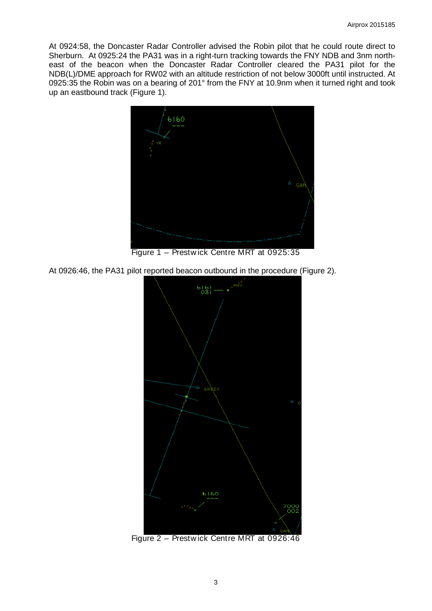At 0924:58, the Doncaster Radar Controller advised the Robin pilot that he could route direct to Sherburn. At 0925:24 the PA31 was in a right-turn tracking towards the FNY NDB and 3nm northeast of the beacon when the Doncaster Radar Controller cleared the PA31 pilot for the NDB(L)/DME approach for RW02 with an altitude restriction of not below 3000ft until instructed. At 0925:35 the Robin was on a bearing of 201° from the FNY at 10.9nm when it turned right and took up an eastbound track (Figure 1).



Figure 1 – Prestw ick Centre MRT at 0925:35

At 0926:46, the PA31 pilot reported beacon outbound in the procedure (Figure 2).



Figure 2 – Prestw ick Centre MRT at 0926:46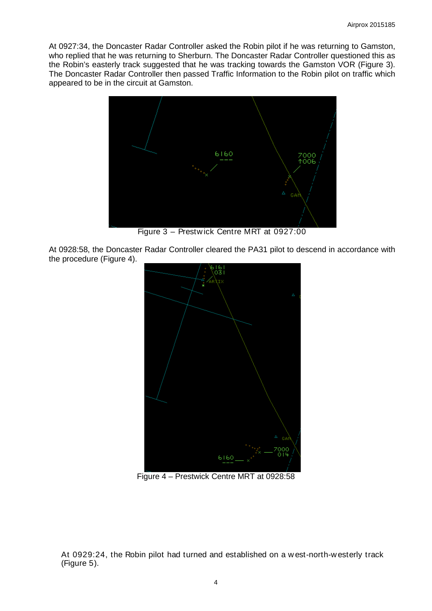At 0927:34, the Doncaster Radar Controller asked the Robin pilot if he was returning to Gamston, who replied that he was returning to Sherburn. The Doncaster Radar Controller questioned this as the Robin's easterly track suggested that he was tracking towards the Gamston VOR (Figure 3). The Doncaster Radar Controller then passed Traffic Information to the Robin pilot on traffic which appeared to be in the circuit at Gamston.



Figure 3 – Prestw ick Centre MRT at 0927:00

At 0928:58, the Doncaster Radar Controller cleared the PA31 pilot to descend in accordance with the procedure (Figure 4).



Figure 4 – Prestwick Centre MRT at 0928:58

At 0929:24, the Robin pilot had turned and established on a w est-north-w esterly track (Figure 5).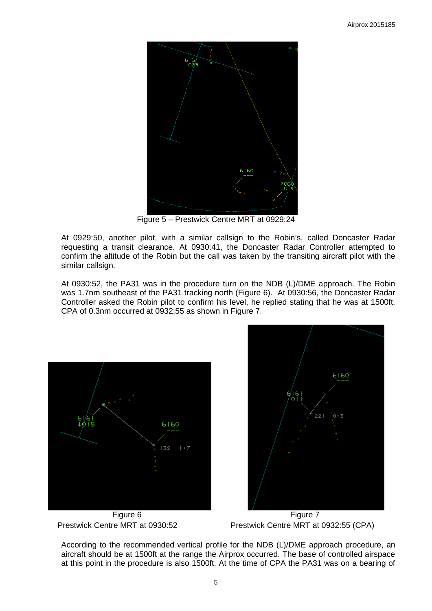

Figure 5 – Prestwick Centre MRT at 0929:24

At 0929:50, another pilot, with a similar callsign to the Robin's, called Doncaster Radar requesting a transit clearance. At 0930:41, the Doncaster Radar Controller attempted to confirm the altitude of the Robin but the call was taken by the transiting aircraft pilot with the similar callsign.

At 0930:52, the PA31 was in the procedure turn on the NDB (L)/DME approach. The Robin was 1.7nm southeast of the PA31 tracking north (Figure 6). At 0930:56, the Doncaster Radar Controller asked the Robin pilot to confirm his level, he replied stating that he was at 1500ft. CPA of 0.3nm occurred at 0932:55 as shown in Figure 7.





Prestwick Centre MRT at 0930:52 Prestwick Centre MRT at 0932:55 (CPA)

According to the recommended vertical profile for the NDB (L)/DME approach procedure, an aircraft should be at 1500ft at the range the Airprox occurred. The base of controlled airspace at this point in the procedure is also 1500ft. At the time of CPA the PA31 was on a bearing of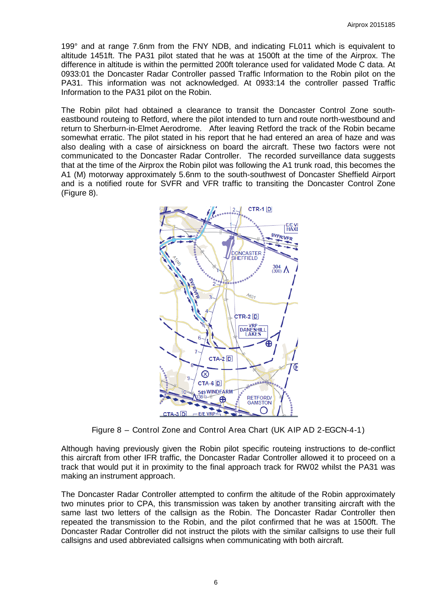199° and at range 7.6nm from the FNY NDB, and indicating FL011 which is equivalent to altitude 1451ft. The PA31 pilot stated that he was at 1500ft at the time of the Airprox. The difference in altitude is within the permitted 200ft tolerance used for validated Mode C data. At 0933:01 the Doncaster Radar Controller passed Traffic Information to the Robin pilot on the PA31. This information was not acknowledged. At 0933:14 the controller passed Traffic Information to the PA31 pilot on the Robin.

The Robin pilot had obtained a clearance to transit the Doncaster Control Zone southeastbound routeing to Retford, where the pilot intended to turn and route north-westbound and return to Sherburn-in-Elmet Aerodrome. After leaving Retford the track of the Robin became somewhat erratic. The pilot stated in his report that he had entered an area of haze and was also dealing with a case of airsickness on board the aircraft. These two factors were not communicated to the Doncaster Radar Controller. The recorded surveillance data suggests that at the time of the Airprox the Robin pilot was following the A1 trunk road, this becomes the A1 (M) motorway approximately 5.6nm to the south-southwest of Doncaster Sheffield Airport and is a notified route for SVFR and VFR traffic to transiting the Doncaster Control Zone (Figure 8).



Figure 8 – Control Zone and Control Area Chart (UK AIP AD 2-EGCN-4-1)

Although having previously given the Robin pilot specific routeing instructions to de-conflict this aircraft from other IFR traffic, the Doncaster Radar Controller allowed it to proceed on a track that would put it in proximity to the final approach track for RW02 whilst the PA31 was making an instrument approach.

The Doncaster Radar Controller attempted to confirm the altitude of the Robin approximately two minutes prior to CPA, this transmission was taken by another transiting aircraft with the same last two letters of the callsign as the Robin. The Doncaster Radar Controller then repeated the transmission to the Robin, and the pilot confirmed that he was at 1500ft. The Doncaster Radar Controller did not instruct the pilots with the similar callsigns to use their full callsigns and used abbreviated callsigns when communicating with both aircraft.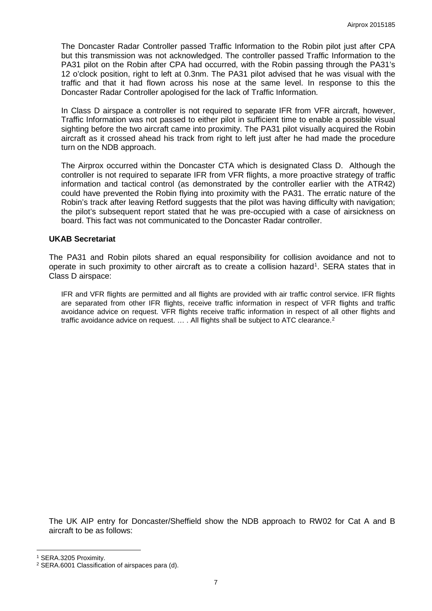The Doncaster Radar Controller passed Traffic Information to the Robin pilot just after CPA but this transmission was not acknowledged. The controller passed Traffic Information to the PA31 pilot on the Robin after CPA had occurred, with the Robin passing through the PA31's 12 o'clock position, right to left at 0.3nm. The PA31 pilot advised that he was visual with the traffic and that it had flown across his nose at the same level. In response to this the Doncaster Radar Controller apologised for the lack of Traffic Information.

In Class D airspace a controller is not required to separate IFR from VFR aircraft, however, Traffic Information was not passed to either pilot in sufficient time to enable a possible visual sighting before the two aircraft came into proximity. The PA31 pilot visually acquired the Robin aircraft as it crossed ahead his track from right to left just after he had made the procedure turn on the NDB approach.

The Airprox occurred within the Doncaster CTA which is designated Class D. Although the controller is not required to separate IFR from VFR flights, a more proactive strategy of traffic information and tactical control (as demonstrated by the controller earlier with the ATR42) could have prevented the Robin flying into proximity with the PA31. The erratic nature of the Robin's track after leaving Retford suggests that the pilot was having difficulty with navigation; the pilot's subsequent report stated that he was pre-occupied with a case of airsickness on board. This fact was not communicated to the Doncaster Radar controller.

#### **UKAB Secretariat**

The PA31 and Robin pilots shared an equal responsibility for collision avoidance and not to operate in such proximity to other aircraft as to create a collision hazard<sup>[1](#page-6-0)</sup>. SERA states that in Class D airspace:

IFR and VFR flights are permitted and all flights are provided with air traffic control service. IFR flights are separated from other IFR flights, receive traffic information in respect of VFR flights and traffic avoidance advice on request. VFR flights receive traffic information in respect of all other flights and traffic avoidance advice on request. ... . All flights shall be subject to ATC clearance.<sup>[2](#page-6-1)</sup>

The UK AIP entry for Doncaster/Sheffield show the NDB approach to RW02 for Cat A and B aircraft to be as follows:

l

<span id="page-6-0"></span><sup>1</sup> SERA.3205 Proximity.

<span id="page-6-1"></span><sup>2</sup> SERA.6001 Classification of airspaces para (d).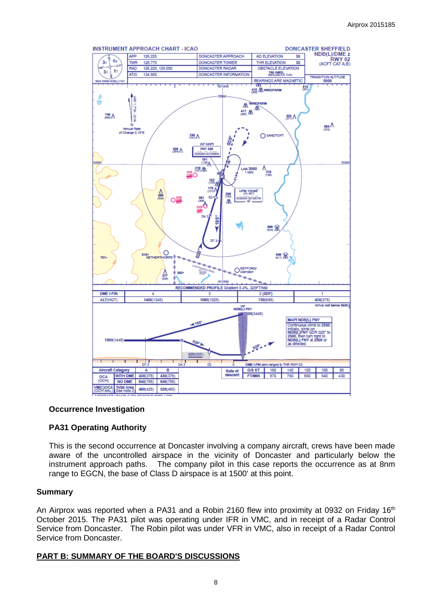

#### **Occurrence Investigation**

## **PA31 Operating Authority**

This is the second occurrence at Doncaster involving a company aircraft, crews have been made aware of the uncontrolled airspace in the vicinity of Doncaster and particularly below the instrument approach paths. The company pilot in this case reports the occurrence as at 8nm range to EGCN, the base of Class D airspace is at 1500' at this point.

#### **Summary**

An Airprox was reported when a PA31 and a Robin 2160 flew into proximity at 0932 on Friday 16<sup>th</sup> October 2015. The PA31 pilot was operating under IFR in VMC, and in receipt of a Radar Control Service from Doncaster. The Robin pilot was under VFR in VMC, also in receipt of a Radar Control Service from Doncaster.

## **PART B: SUMMARY OF THE BOARD'S DISCUSSIONS**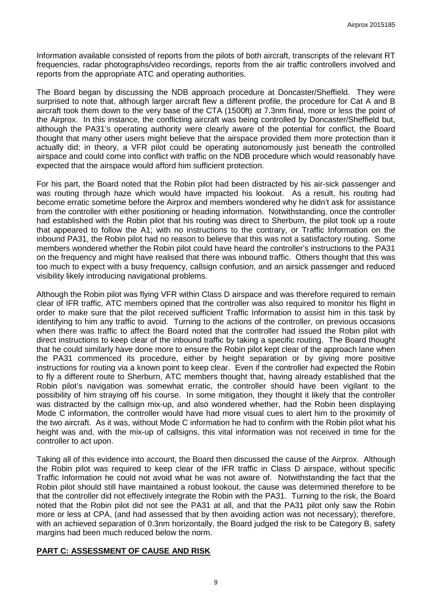Information available consisted of reports from the pilots of both aircraft, transcripts of the relevant RT frequencies, radar photographs/video recordings, reports from the air traffic controllers involved and reports from the appropriate ATC and operating authorities.

The Board began by discussing the NDB approach procedure at Doncaster/Sheffield. They were surprised to note that, although larger aircraft flew a different profile, the procedure for Cat A and B aircraft took them down to the very base of the CTA (1500ft) at 7.3nm final, more or less the point of the Airprox. In this instance, the conflicting aircraft was being controlled by Doncaster/Sheffield but, although the PA31's operating authority were clearly aware of the potential for conflict, the Board thought that many other users might believe that the airspace provided them more protection than it actually did; in theory, a VFR pilot could be operating autonomously just beneath the controlled airspace and could come into conflict with traffic on the NDB procedure which would reasonably have expected that the airspace would afford him sufficient protection.

For his part, the Board noted that the Robin pilot had been distracted by his air-sick passenger and was routing through haze which would have impacted his lookout. As a result, his routing had become erratic sometime before the Airprox and members wondered why he didn't ask for assistance from the controller with either positioning or heading information. Notwithstanding, once the controller had established with the Robin pilot that his routing was direct to Sherburn, the pilot took up a route that appeared to follow the A1; with no instructions to the contrary, or Traffic Information on the inbound PA31, the Robin pilot had no reason to believe that this was not a satisfactory routing. Some members wondered whether the Robin pilot could have heard the controller's instructions to the PA31 on the frequency and might have realised that there was inbound traffic. Others thought that this was too much to expect with a busy frequency, callsign confusion, and an airsick passenger and reduced visibility likely introducing navigational problems.

Although the Robin pilot was flying VFR within Class D airspace and was therefore required to remain clear of IFR traffic, ATC members opined that the controller was also required to monitor his flight in order to make sure that the pilot received sufficient Traffic Information to assist him in this task by identifying to him any traffic to avoid. Turning to the actions of the controller, on previous occasions when there was traffic to affect the Board noted that the controller had issued the Robin pilot with direct instructions to keep clear of the inbound traffic by taking a specific routing. The Board thought that he could similarly have done more to ensure the Robin pilot kept clear of the approach lane when the PA31 commenced its procedure, either by height separation or by giving more positive instructions for routing via a known point to keep clear. Even if the controller had expected the Robin to fly a different route to Sherburn, ATC members thought that, having already established that the Robin pilot's navigation was somewhat erratic, the controller should have been vigilant to the possibility of him straying off his course. In some mitigation, they thought it likely that the controller was distracted by the callsign mix-up, and also wondered whether, had the Robin been displaying Mode C information, the controller would have had more visual cues to alert him to the proximity of the two aircraft. As it was, without Mode C information he had to confirm with the Robin pilot what his height was and, with the mix-up of callsigns, this vital information was not received in time for the controller to act upon.

Taking all of this evidence into account, the Board then discussed the cause of the Airprox. Although the Robin pilot was required to keep clear of the IFR traffic in Class D airspace, without specific Traffic Information he could not avoid what he was not aware of. Notwithstanding the fact that the Robin pilot should still have maintained a robust lookout, the cause was determined therefore to be that the controller did not effectively integrate the Robin with the PA31. Turning to the risk, the Board noted that the Robin pilot did not see the PA31 at all, and that the PA31 pilot only saw the Robin more or less at CPA, (and had assessed that by then avoiding action was not necessary); therefore, with an achieved separation of 0.3nm horizontally, the Board judged the risk to be Category B, safety margins had been much reduced below the norm.

## **PART C: ASSESSMENT OF CAUSE AND RISK**